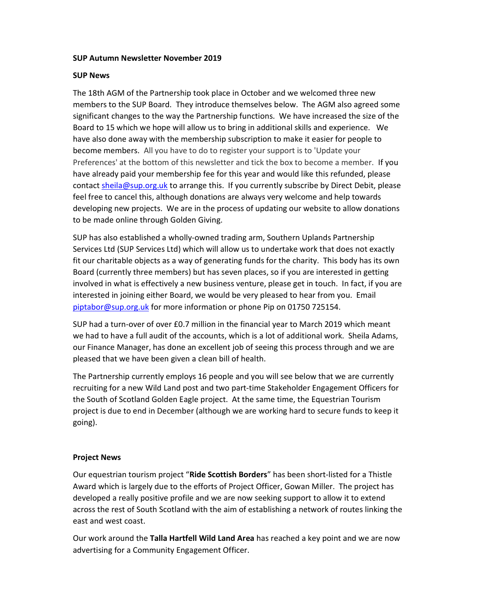#### SUP Autumn Newsletter November 2019

#### SUP News

The 18th AGM of the Partnership took place in October and we welcomed three new members to the SUP Board. They introduce themselves below. The AGM also agreed some significant changes to the way the Partnership functions. We have increased the size of the Board to 15 which we hope will allow us to bring in additional skills and experience. We have also done away with the membership subscription to make it easier for people to become members. All you have to do to register your support is to 'Update your Preferences' at the bottom of this newsletter and tick the box to become a member. If you have already paid your membership fee for this year and would like this refunded, please contact sheila@sup.org.uk to arrange this. If you currently subscribe by Direct Debit, please feel free to cancel this, although donations are always very welcome and help towards developing new projects. We are in the process of updating our website to allow donations to be made online through Golden Giving.

SUP has also established a wholly-owned trading arm, Southern Uplands Partnership Services Ltd (SUP Services Ltd) which will allow us to undertake work that does not exactly fit our charitable objects as a way of generating funds for the charity. This body has its own Board (currently three members) but has seven places, so if you are interested in getting involved in what is effectively a new business venture, please get in touch. In fact, if you are interested in joining either Board, we would be very pleased to hear from you. Email piptabor@sup.org.uk for more information or phone Pip on 01750 725154.

SUP had a turn-over of over £0.7 million in the financial year to March 2019 which meant we had to have a full audit of the accounts, which is a lot of additional work. Sheila Adams, our Finance Manager, has done an excellent job of seeing this process through and we are pleased that we have been given a clean bill of health.

The Partnership currently employs 16 people and you will see below that we are currently recruiting for a new Wild Land post and two part-time Stakeholder Engagement Officers for the South of Scotland Golden Eagle project. At the same time, the Equestrian Tourism project is due to end in December (although we are working hard to secure funds to keep it going).

# Project News

Our equestrian tourism project "Ride Scottish Borders" has been short-listed for a Thistle Award which is largely due to the efforts of Project Officer, Gowan Miller. The project has developed a really positive profile and we are now seeking support to allow it to extend across the rest of South Scotland with the aim of establishing a network of routes linking the east and west coast.

Our work around the Talla Hartfell Wild Land Area has reached a key point and we are now advertising for a Community Engagement Officer.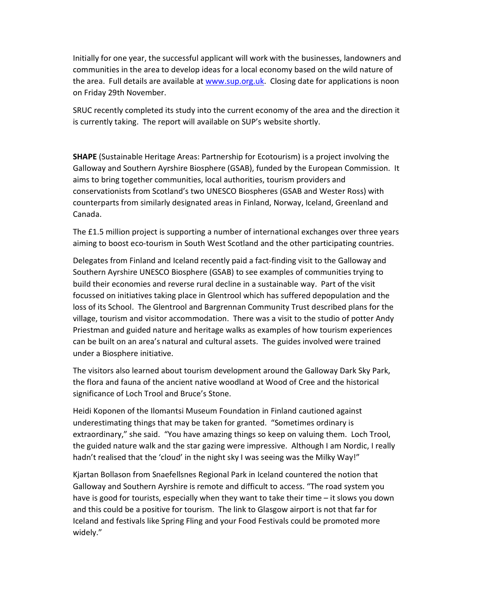Initially for one year, the successful applicant will work with the businesses, landowners and communities in the area to develop ideas for a local economy based on the wild nature of the area. Full details are available at www.sup.org.uk. Closing date for applications is noon on Friday 29th November.

SRUC recently completed its study into the current economy of the area and the direction it is currently taking. The report will available on SUP's website shortly.

SHAPE (Sustainable Heritage Areas: Partnership for Ecotourism) is a project involving the Galloway and Southern Ayrshire Biosphere (GSAB), funded by the European Commission. It aims to bring together communities, local authorities, tourism providers and conservationists from Scotland's two UNESCO Biospheres (GSAB and Wester Ross) with counterparts from similarly designated areas in Finland, Norway, Iceland, Greenland and Canada.

The £1.5 million project is supporting a number of international exchanges over three years aiming to boost eco-tourism in South West Scotland and the other participating countries.

Delegates from Finland and Iceland recently paid a fact-finding visit to the Galloway and Southern Ayrshire UNESCO Biosphere (GSAB) to see examples of communities trying to build their economies and reverse rural decline in a sustainable way. Part of the visit focussed on initiatives taking place in Glentrool which has suffered depopulation and the loss of its School. The Glentrool and Bargrennan Community Trust described plans for the village, tourism and visitor accommodation. There was a visit to the studio of potter Andy Priestman and guided nature and heritage walks as examples of how tourism experiences can be built on an area's natural and cultural assets. The guides involved were trained under a Biosphere initiative.

The visitors also learned about tourism development around the Galloway Dark Sky Park, the flora and fauna of the ancient native woodland at Wood of Cree and the historical significance of Loch Trool and Bruce's Stone.

Heidi Koponen of the Ilomantsi Museum Foundation in Finland cautioned against underestimating things that may be taken for granted. "Sometimes ordinary is extraordinary," she said. "You have amazing things so keep on valuing them. Loch Trool, the guided nature walk and the star gazing were impressive. Although I am Nordic, I really hadn't realised that the 'cloud' in the night sky I was seeing was the Milky Way!"

Kjartan Bollason from Snaefellsnes Regional Park in Iceland countered the notion that Galloway and Southern Ayrshire is remote and difficult to access. "The road system you have is good for tourists, especially when they want to take their time – it slows you down and this could be a positive for tourism. The link to Glasgow airport is not that far for Iceland and festivals like Spring Fling and your Food Festivals could be promoted more widely."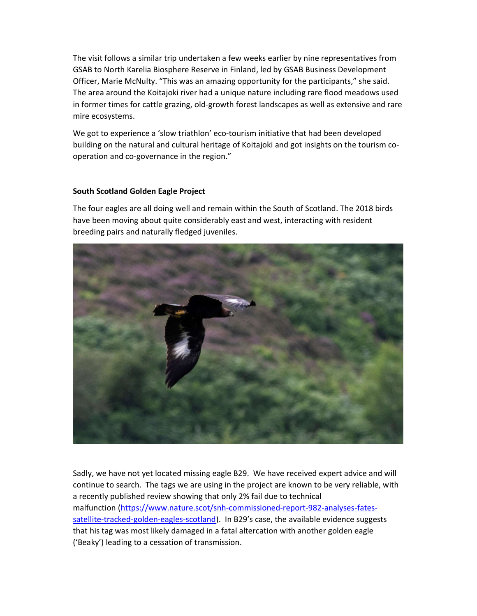The visit follows a similar trip undertaken a few weeks earlier by nine representatives from GSAB to North Karelia Biosphere Reserve in Finland, led by GSAB Business Development Officer, Marie McNulty. "This was an amazing opportunity for the participants," she said. The area around the Koitajoki river had a unique nature including rare flood meadows used in former times for cattle grazing, old-growth forest landscapes as well as extensive and rare mire ecosystems.

We got to experience a 'slow triathlon' eco-tourism initiative that had been developed building on the natural and cultural heritage of Koitajoki and got insights on the tourism cooperation and co-governance in the region."

# South Scotland Golden Eagle Project

The four eagles are all doing well and remain within the South of Scotland. The 2018 birds have been moving about quite considerably east and west, interacting with resident breeding pairs and naturally fledged juveniles.



Sadly, we have not yet located missing eagle B29. We have received expert advice and will continue to search. The tags we are using in the project are known to be very reliable, with a recently published review showing that only 2% fail due to technical malfunction (https://www.nature.scot/snh-commissioned-report-982-analyses-fatessatellite-tracked-golden-eagles-scotland). In B29's case, the available evidence suggests that his tag was most likely damaged in a fatal altercation with another golden eagle ('Beaky') leading to a cessation of transmission.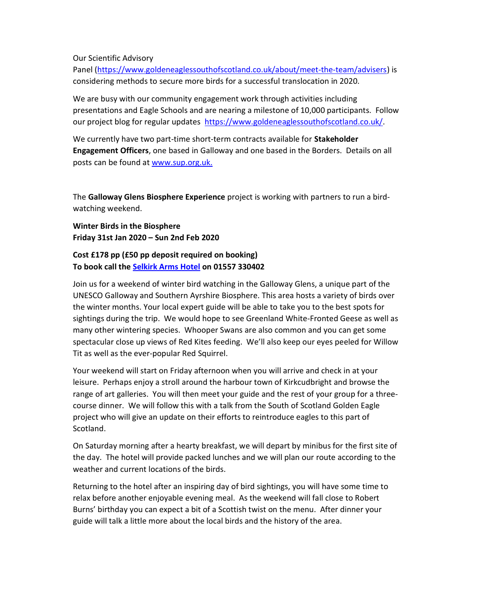Our Scientific Advisory

Panel (https://www.goldeneaglessouthofscotland.co.uk/about/meet-the-team/advisers) is considering methods to secure more birds for a successful translocation in 2020.

We are busy with our community engagement work through activities including presentations and Eagle Schools and are nearing a milestone of 10,000 participants. Follow our project blog for regular updates https://www.goldeneaglessouthofscotland.co.uk/.

We currently have two part-time short-term contracts available for Stakeholder Engagement Officers, one based in Galloway and one based in the Borders. Details on all posts can be found at www.sup.org.uk.

The Galloway Glens Biosphere Experience project is working with partners to run a birdwatching weekend.

Winter Birds in the Biosphere Friday 31st Jan 2020 – Sun 2nd Feb 2020

# Cost £178 pp (£50 pp deposit required on booking) To book call the Selkirk Arms Hotel on 01557 330402

Join us for a weekend of winter bird watching in the Galloway Glens, a unique part of the UNESCO Galloway and Southern Ayrshire Biosphere. This area hosts a variety of birds over the winter months. Your local expert guide will be able to take you to the best spots for sightings during the trip. We would hope to see Greenland White-Fronted Geese as well as many other wintering species. Whooper Swans are also common and you can get some spectacular close up views of Red Kites feeding. We'll also keep our eyes peeled for Willow Tit as well as the ever-popular Red Squirrel.

Your weekend will start on Friday afternoon when you will arrive and check in at your leisure. Perhaps enjoy a stroll around the harbour town of Kirkcudbright and browse the range of art galleries. You will then meet your guide and the rest of your group for a threecourse dinner. We will follow this with a talk from the South of Scotland Golden Eagle project who will give an update on their efforts to reintroduce eagles to this part of Scotland.

On Saturday morning after a hearty breakfast, we will depart by minibus for the first site of the day. The hotel will provide packed lunches and we will plan our route according to the weather and current locations of the birds.

Returning to the hotel after an inspiring day of bird sightings, you will have some time to relax before another enjoyable evening meal. As the weekend will fall close to Robert Burns' birthday you can expect a bit of a Scottish twist on the menu. After dinner your guide will talk a little more about the local birds and the history of the area.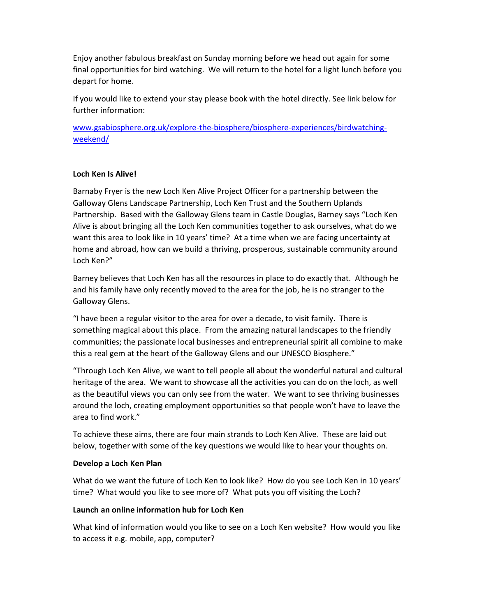Enjoy another fabulous breakfast on Sunday morning before we head out again for some final opportunities for bird watching. We will return to the hotel for a light lunch before you depart for home.

If you would like to extend your stay please book with the hotel directly. See link below for further information:

www.gsabiosphere.org.uk/explore-the-biosphere/biosphere-experiences/birdwatchingweekend/

# Loch Ken Is Alive!

Barnaby Fryer is the new Loch Ken Alive Project Officer for a partnership between the Galloway Glens Landscape Partnership, Loch Ken Trust and the Southern Uplands Partnership. Based with the Galloway Glens team in Castle Douglas, Barney says "Loch Ken Alive is about bringing all the Loch Ken communities together to ask ourselves, what do we want this area to look like in 10 years' time? At a time when we are facing uncertainty at home and abroad, how can we build a thriving, prosperous, sustainable community around Loch Ken?"

Barney believes that Loch Ken has all the resources in place to do exactly that. Although he and his family have only recently moved to the area for the job, he is no stranger to the Galloway Glens.

"I have been a regular visitor to the area for over a decade, to visit family. There is something magical about this place. From the amazing natural landscapes to the friendly communities; the passionate local businesses and entrepreneurial spirit all combine to make this a real gem at the heart of the Galloway Glens and our UNESCO Biosphere."

"Through Loch Ken Alive, we want to tell people all about the wonderful natural and cultural heritage of the area. We want to showcase all the activities you can do on the loch, as well as the beautiful views you can only see from the water. We want to see thriving businesses around the loch, creating employment opportunities so that people won't have to leave the area to find work."

To achieve these aims, there are four main strands to Loch Ken Alive. These are laid out below, together with some of the key questions we would like to hear your thoughts on.

# Develop a Loch Ken Plan

What do we want the future of Loch Ken to look like? How do you see Loch Ken in 10 years' time? What would you like to see more of? What puts you off visiting the Loch?

# Launch an online information hub for Loch Ken

What kind of information would you like to see on a Loch Ken website? How would you like to access it e.g. mobile, app, computer?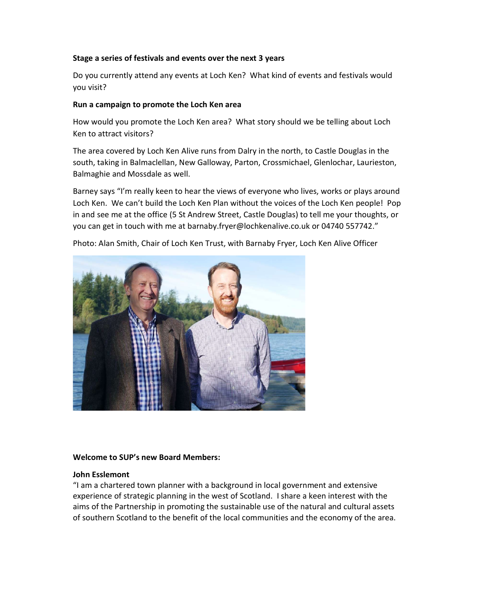# Stage a series of festivals and events over the next 3 years

Do you currently attend any events at Loch Ken? What kind of events and festivals would you visit?

# Run a campaign to promote the Loch Ken area

How would you promote the Loch Ken area? What story should we be telling about Loch Ken to attract visitors?

The area covered by Loch Ken Alive runs from Dalry in the north, to Castle Douglas in the south, taking in Balmaclellan, New Galloway, Parton, Crossmichael, Glenlochar, Laurieston, Balmaghie and Mossdale as well.

Barney says "I'm really keen to hear the views of everyone who lives, works or plays around Loch Ken. We can't build the Loch Ken Plan without the voices of the Loch Ken people! Pop in and see me at the office (5 St Andrew Street, Castle Douglas) to tell me your thoughts, or you can get in touch with me at barnaby.fryer@lochkenalive.co.uk or 04740 557742."



Photo: Alan Smith, Chair of Loch Ken Trust, with Barnaby Fryer, Loch Ken Alive Officer

# Welcome to SUP's new Board Members:

# John Esslemont

"I am a chartered town planner with a background in local government and extensive experience of strategic planning in the west of Scotland. I share a keen interest with the aims of the Partnership in promoting the sustainable use of the natural and cultural assets of southern Scotland to the benefit of the local communities and the economy of the area.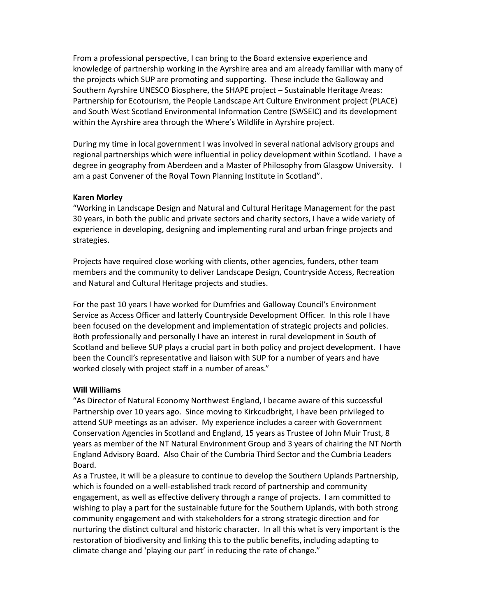From a professional perspective, I can bring to the Board extensive experience and knowledge of partnership working in the Ayrshire area and am already familiar with many of the projects which SUP are promoting and supporting. These include the Galloway and Southern Ayrshire UNESCO Biosphere, the SHAPE project – Sustainable Heritage Areas: Partnership for Ecotourism, the People Landscape Art Culture Environment project (PLACE) and South West Scotland Environmental Information Centre (SWSEIC) and its development within the Ayrshire area through the Where's Wildlife in Ayrshire project.

During my time in local government I was involved in several national advisory groups and regional partnerships which were influential in policy development within Scotland. I have a degree in geography from Aberdeen and a Master of Philosophy from Glasgow University. I am a past Convener of the Royal Town Planning Institute in Scotland".

#### Karen Morley

"Working in Landscape Design and Natural and Cultural Heritage Management for the past 30 years, in both the public and private sectors and charity sectors, I have a wide variety of experience in developing, designing and implementing rural and urban fringe projects and strategies.

Projects have required close working with clients, other agencies, funders, other team members and the community to deliver Landscape Design, Countryside Access, Recreation and Natural and Cultural Heritage projects and studies.

For the past 10 years I have worked for Dumfries and Galloway Council's Environment Service as Access Officer and latterly Countryside Development Officer. In this role I have been focused on the development and implementation of strategic projects and policies. Both professionally and personally I have an interest in rural development in South of Scotland and believe SUP plays a crucial part in both policy and project development. I have been the Council's representative and liaison with SUP for a number of years and have worked closely with project staff in a number of areas."

#### Will Williams

"As Director of Natural Economy Northwest England, I became aware of this successful Partnership over 10 years ago. Since moving to Kirkcudbright, I have been privileged to attend SUP meetings as an adviser. My experience includes a career with Government Conservation Agencies in Scotland and England, 15 years as Trustee of John Muir Trust, 8 years as member of the NT Natural Environment Group and 3 years of chairing the NT North England Advisory Board. Also Chair of the Cumbria Third Sector and the Cumbria Leaders Board.

As a Trustee, it will be a pleasure to continue to develop the Southern Uplands Partnership, which is founded on a well-established track record of partnership and community engagement, as well as effective delivery through a range of projects. I am committed to wishing to play a part for the sustainable future for the Southern Uplands, with both strong community engagement and with stakeholders for a strong strategic direction and for nurturing the distinct cultural and historic character. In all this what is very important is the restoration of biodiversity and linking this to the public benefits, including adapting to climate change and 'playing our part' in reducing the rate of change."